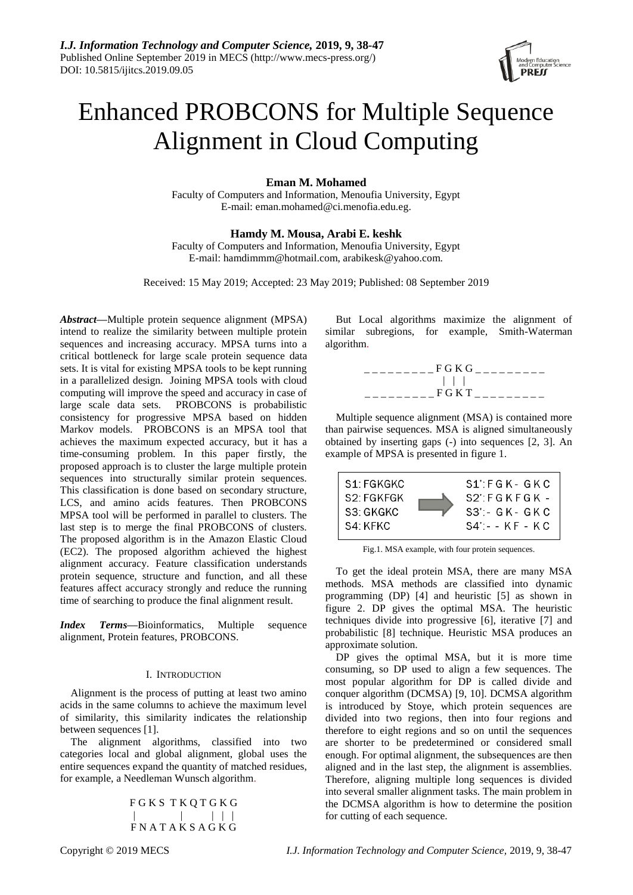

# Enhanced PROBCONS for Multiple Sequence Alignment in Cloud Computing

**Eman M. Mohamed**

Faculty of Computers and Information, Menoufia University, Egypt E-mail[: eman.mohamed@ci.menofia.edu.eg.](mailto:eman.mohamed@ci.menofia.edu.eg)

## **Hamdy M. Mousa, Arabi E. keshk**

Faculty of Computers and Information, Menoufia University, Egypt E-mail: hamdimmm@hotmail.com, arabikesk@yahoo.com.

Received: 15 May 2019; Accepted: 23 May 2019; Published: 08 September 2019

*Abstract***—**Multiple protein sequence alignment (MPSA) intend to realize the similarity between multiple protein sequences and increasing accuracy. MPSA turns into a critical bottleneck for large scale protein sequence data sets. It is vital for existing MPSA tools to be kept running in a parallelized design. Joining MPSA tools with cloud computing will improve the speed and accuracy in case of large scale data sets. PROBCONS is probabilistic consistency for progressive MPSA based on hidden Markov models. PROBCONS is an MPSA tool that achieves the maximum expected accuracy, but it has a time-consuming problem. In this paper firstly, the proposed approach is to cluster the large multiple protein sequences into structurally similar protein sequences. This classification is done based on secondary structure, LCS, and amino acids features. Then PROBCONS MPSA tool will be performed in parallel to clusters. The last step is to merge the final PROBCONS of clusters. The proposed algorithm is in the Amazon Elastic Cloud (EC2). The proposed algorithm achieved the highest alignment accuracy. Feature classification understands protein sequence, structure and function, and all these features affect accuracy strongly and reduce the running time of searching to produce the final alignment result.

*Index Terms***—**Bioinformatics, Multiple sequence alignment, Protein features, PROBCONS.

## I. INTRODUCTION

Alignment is the process of putting at least two amino acids in the same columns to achieve the maximum level of similarity, this similarity indicates the relationship between sequences [1].

The alignment algorithms, classified into two categories local and global alignment, global uses the entire sequences expand the quantity of matched residues, for example, a Needleman Wunsch algorithm.

> F G K S T K Q T G K G | | | | | F N A T A K S A G K G

But Local algorithms maximize the alignment of similar subregions, for example, Smith-Waterman algorithm.



Multiple sequence alignment (MSA) is contained more than pairwise sequences. MSA is aligned simultaneously obtained by inserting gaps (-) into sequences [2, 3]. An example of MPSA is presented in figure 1.



Fig.1. MSA example, with four protein sequences.

To get the ideal protein MSA, there are many MSA methods. MSA methods are classified into dynamic programming (DP) [4] and heuristic [5] as shown in figure 2. DP gives the optimal MSA. The heuristic techniques divide into progressive [6], iterative [7] and probabilistic [8] technique. Heuristic MSA produces an approximate solution.

DP gives the optimal MSA, but it is more time consuming, so DP used to align a few sequences. The most popular algorithm for DP is called divide and conquer algorithm (DCMSA) [9, 10]. DCMSA algorithm is introduced by Stoye, which protein sequences are divided into two regions, then into four regions and therefore to eight regions and so on until the sequences are shorter to be predetermined or considered small enough. For optimal alignment, the subsequences are then aligned and in the last step, the alignment is assemblies. Therefore, aligning multiple long sequences is divided into several smaller alignment tasks. The main problem in the DCMSA algorithm is how to determine the position for cutting of each sequence.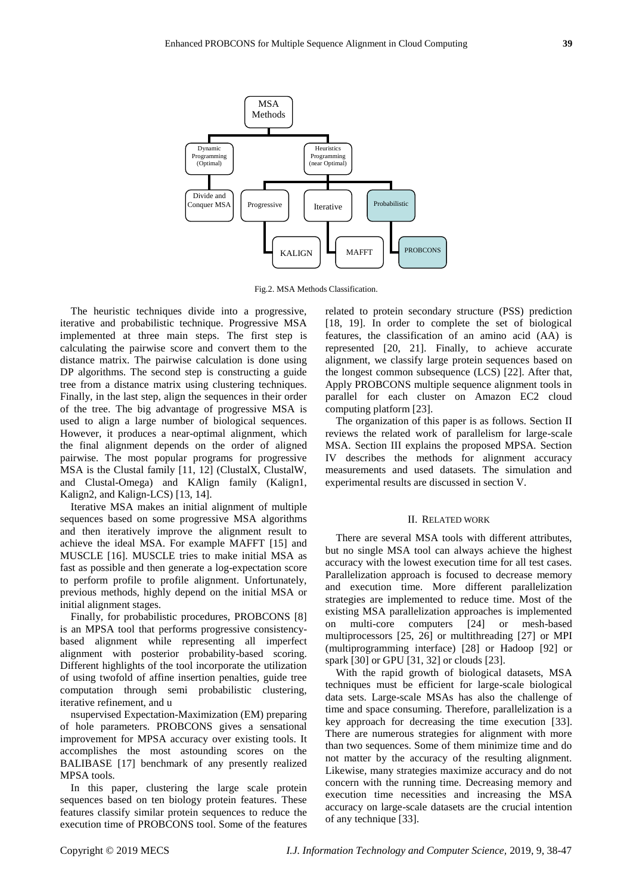

Fig.2. MSA Methods Classification.

The heuristic techniques divide into a progressive, iterative and probabilistic technique. Progressive MSA implemented at three main steps. The first step is calculating the pairwise score and convert them to the distance matrix. The pairwise calculation is done using DP algorithms. The second step is constructing a guide tree from a distance matrix using clustering techniques. Finally, in the last step, align the sequences in their order of the tree. The big advantage of progressive MSA is used to align a large number of biological sequences. However, it produces a near-optimal alignment, which the final alignment depends on the order of aligned pairwise. The most popular programs for progressive MSA is the Clustal family [11, 12] (ClustalX, ClustalW, and Clustal-Omega) and KAlign family (Kalign1, Kalign2, and Kalign-LCS) [13, 14].

Iterative MSA makes an initial alignment of multiple sequences based on some progressive MSA algorithms and then iteratively improve the alignment result to achieve the ideal MSA. For example MAFFT [15] and MUSCLE [16]. MUSCLE tries to make initial MSA as fast as possible and then generate a log-expectation score to perform profile to profile alignment. Unfortunately, previous methods, highly depend on the initial MSA or initial alignment stages.

Finally, for probabilistic procedures, PROBCONS [8] is an MPSA tool that performs progressive consistencybased alignment while representing all imperfect alignment with posterior probability-based scoring. Different highlights of the tool incorporate the utilization of using twofold of affine insertion penalties, guide tree computation through semi probabilistic clustering, iterative refinement, and u

nsupervised Expectation-Maximization (EM) preparing of hole parameters. PROBCONS gives a sensational improvement for MPSA accuracy over existing tools. It accomplishes the most astounding scores on the BALIBASE [17] benchmark of any presently realized MPSA tools.

In this paper, clustering the large scale protein sequences based on ten biology protein features. These features classify similar protein sequences to reduce the execution time of PROBCONS tool. Some of the features related to protein secondary structure (PSS) prediction [18, 19]. In order to complete the set of biological features, the classification of an amino acid (AA) is represented [20, 21]. Finally, to achieve accurate alignment, we classify large protein sequences based on the longest common subsequence (LCS) [22]. After that, Apply PROBCONS multiple sequence alignment tools in parallel for each cluster on Amazon EC2 cloud computing platform [23].

The organization of this paper is as follows. Section II reviews the related work of parallelism for large-scale MSA. Section III explains the proposed MPSA. Section IV describes the methods for alignment accuracy measurements and used datasets. The simulation and experimental results are discussed in section V.

## II. RELATED WORK

There are several MSA tools with different attributes, but no single MSA tool can always achieve the highest accuracy with the lowest execution time for all test cases. Parallelization approach is focused to decrease memory and execution time. More different parallelization strategies are implemented to reduce time. Most of the existing MSA parallelization approaches is implemented on multi-core computers [24] or mesh-based multiprocessors [25, 26] or multithreading [27] or MPI (multiprogramming interface) [28] or Hadoop [92] or spark [30] or GPU [31, 32] or clouds [23].

With the rapid growth of biological datasets, MSA techniques must be efficient for large-scale biological data sets. Large-scale MSAs has also the challenge of time and space consuming. Therefore, parallelization is a key approach for decreasing the time execution [33]. There are numerous strategies for alignment with more than two sequences. Some of them minimize time and do not matter by the accuracy of the resulting alignment. Likewise, many strategies maximize accuracy and do not concern with the running time. Decreasing memory and execution time necessities and increasing the MSA accuracy on large-scale datasets are the crucial intention of any technique [33].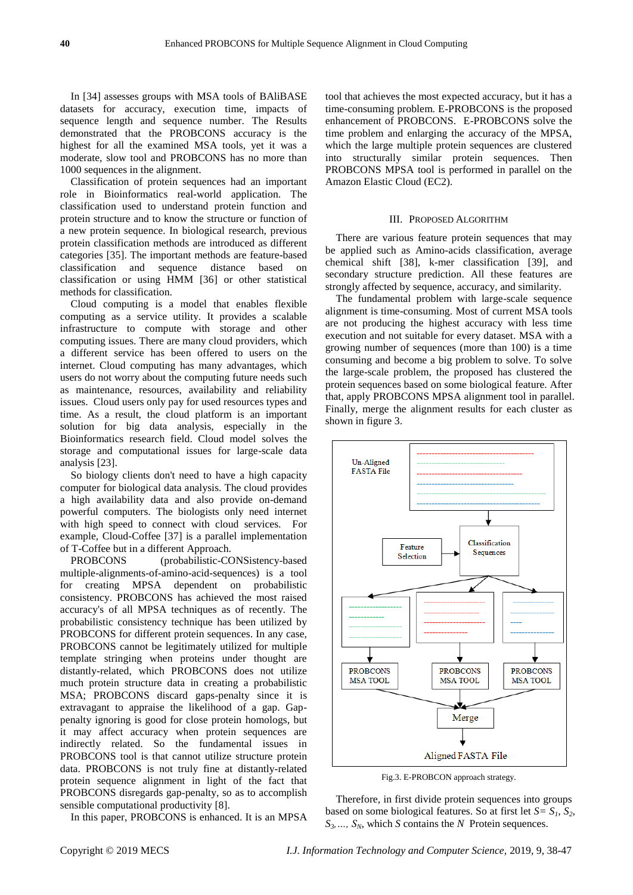In [34] assesses groups with MSA tools of BAliBASE datasets for accuracy, execution time, impacts of sequence length and sequence number. The Results demonstrated that the PROBCONS accuracy is the highest for all the examined MSA tools, yet it was a moderate, slow tool and PROBCONS has no more than 1000 sequences in the alignment.

Classification of protein sequences had an important role in Bioinformatics real-world application. The classification used to understand protein function and protein structure and to know the structure or function of a new protein sequence. In biological research, previous protein classification methods are introduced as different categories [35]. The important methods are feature-based classification and sequence distance based on classification or using HMM [36] or other statistical methods for classification.

Cloud computing is a model that enables flexible computing as a service utility. It provides a scalable infrastructure to compute with storage and other computing issues. There are many cloud providers, which a different service has been offered to users on the internet. Cloud computing has many advantages, which users do not worry about the computing future needs such as maintenance, resources, availability and reliability issues. Cloud users only pay for used resources types and time. As a result, the cloud platform is an important solution for big data analysis, especially in the Bioinformatics research field. Cloud model solves the storage and computational issues for large-scale data analysis [23].

So biology clients don't need to have a high capacity computer for biological data analysis. The cloud provides a high availability data and also provide on-demand powerful computers. The biologists only need internet with high speed to connect with cloud services. For example, Cloud-Coffee [37] is a parallel implementation of T-Coffee but in a different Approach.

PROBCONS (probabilistic-CONSistency-based multiple-alignments-of-amino-acid-sequences) is a tool for creating MPSA dependent on probabilistic consistency. PROBCONS has achieved the most raised accuracy's of all MPSA techniques as of recently. The probabilistic consistency technique has been utilized by PROBCONS for different protein sequences. In any case, PROBCONS cannot be legitimately utilized for multiple template stringing when proteins under thought are distantly-related, which PROBCONS does not utilize much protein structure data in creating a probabilistic MSA; PROBCONS discard gaps-penalty since it is extravagant to appraise the likelihood of a gap. Gappenalty ignoring is good for close protein homologs, but it may affect accuracy when protein sequences are indirectly related. So the fundamental issues in PROBCONS tool is that cannot utilize structure protein data. PROBCONS is not truly fine at distantly-related protein sequence alignment in light of the fact that PROBCONS disregards gap-penalty, so as to accomplish sensible computational productivity [8].

In this paper, PROBCONS is enhanced. It is an MPSA

tool that achieves the most expected accuracy, but it has a time-consuming problem. E-PROBCONS is the proposed enhancement of PROBCONS. E-PROBCONS solve the time problem and enlarging the accuracy of the MPSA, which the large multiple protein sequences are clustered into structurally similar protein sequences. Then PROBCONS MPSA tool is performed in parallel on the Amazon Elastic Cloud (EC2).

#### III. PROPOSED ALGORITHM

There are various feature protein sequences that may be applied such as Amino-acids classification, average chemical shift [38], k-mer classification [39], and secondary structure prediction. All these features are strongly affected by sequence, accuracy, and similarity.

The fundamental problem with large-scale sequence alignment is time-consuming. Most of current MSA tools are not producing the highest accuracy with less time execution and not suitable for every dataset. MSA with a growing number of sequences (more than 100) is a time consuming and become a big problem to solve. To solve the large-scale problem, the proposed has clustered the protein sequences based on some biological feature. After that, apply PROBCONS MPSA alignment tool in parallel. Finally, merge the alignment results for each cluster as shown in figure 3.



Fig.3. E-PROBCON approach strategy.

Therefore, in first divide protein sequences into groups based on some biological features. So at first let  $S = S<sub>1</sub>, S<sub>2</sub>$ ,  $S_3$ , *S<sub>N</sub>*, which *S* contains the *N* Protein sequences.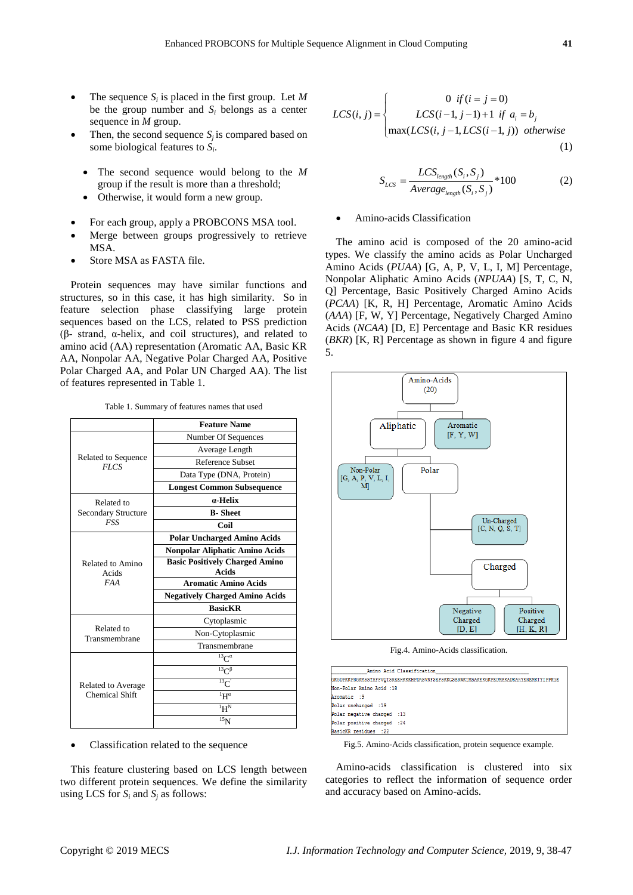- The sequence  $S_i$  is placed in the first group. Let M be the group number and  $S_i$  belongs as a center sequence in *M* group.
- Then, the second sequence  $S_j$  is compared based on some biological features to *S<sup>i</sup>* .
	- The second sequence would belong to the *M* group if the result is more than a threshold;
	- Otherwise, it would form a new group.
- For each group, apply a PROBCONS MSA tool.
- Merge between groups progressively to retrieve MSA.
- Store MSA as FASTA file.

Protein sequences may have similar functions and structures, so in this case, it has high similarity. So in feature selection phase classifying large protein sequences based on the LCS, related to PSS prediction (β- strand, α-helix, and coil structures), and related to amino acid (AA) representation (Aromatic AA, Basic KR AA, Nonpolar AA, Negative Polar Charged AA, Positive Polar Charged AA, and Polar UN Charged AA). The list of features represented in Table 1.

|  |  | Table 1. Summary of features names that used |  |  |
|--|--|----------------------------------------------|--|--|
|--|--|----------------------------------------------|--|--|

|                            | <b>Feature Name</b>                                                                                                                                                                                                                                                                                                                                                                                                                                                                                                                                                                                                   |  |  |
|----------------------------|-----------------------------------------------------------------------------------------------------------------------------------------------------------------------------------------------------------------------------------------------------------------------------------------------------------------------------------------------------------------------------------------------------------------------------------------------------------------------------------------------------------------------------------------------------------------------------------------------------------------------|--|--|
|                            | Number Of Sequences                                                                                                                                                                                                                                                                                                                                                                                                                                                                                                                                                                                                   |  |  |
|                            | Average Length<br><b>Reference Subset</b><br><b>FLCS</b><br>Data Type (DNA, Protein)<br><b>Longest Common Subsequence</b><br>a-Helix<br><b>B-Sheet</b><br><b>FSS</b><br>Coil<br><b>Polar Uncharged Amino Acids</b><br>Nonpolar Aliphatic Amino Acids<br><b>Basic Positively Charged Amino</b><br><b>Acids</b><br><b>Aromatic Amino Acids</b><br><b>FAA</b><br><b>Negatively Charged Amino Acids</b><br><b>BasicKR</b><br>Cytoplasmic<br>Related to<br>Non-Cytoplasmic<br>Transmembrane<br>$^{13}C^{\alpha}$<br>$^{13}C^{\beta}$<br>$^{13}$ C<br>$\mathrm{H}^{\alpha}$<br>$\mathbf{H}^{\mathbf{N}}$<br>15 <sub>N</sub> |  |  |
| Related to Sequence        |                                                                                                                                                                                                                                                                                                                                                                                                                                                                                                                                                                                                                       |  |  |
|                            |                                                                                                                                                                                                                                                                                                                                                                                                                                                                                                                                                                                                                       |  |  |
|                            |                                                                                                                                                                                                                                                                                                                                                                                                                                                                                                                                                                                                                       |  |  |
| Related to                 |                                                                                                                                                                                                                                                                                                                                                                                                                                                                                                                                                                                                                       |  |  |
| <b>Secondary Structure</b> |                                                                                                                                                                                                                                                                                                                                                                                                                                                                                                                                                                                                                       |  |  |
|                            |                                                                                                                                                                                                                                                                                                                                                                                                                                                                                                                                                                                                                       |  |  |
|                            |                                                                                                                                                                                                                                                                                                                                                                                                                                                                                                                                                                                                                       |  |  |
| Related to Amino<br>Acids  |                                                                                                                                                                                                                                                                                                                                                                                                                                                                                                                                                                                                                       |  |  |
|                            |                                                                                                                                                                                                                                                                                                                                                                                                                                                                                                                                                                                                                       |  |  |
|                            |                                                                                                                                                                                                                                                                                                                                                                                                                                                                                                                                                                                                                       |  |  |
|                            |                                                                                                                                                                                                                                                                                                                                                                                                                                                                                                                                                                                                                       |  |  |
|                            |                                                                                                                                                                                                                                                                                                                                                                                                                                                                                                                                                                                                                       |  |  |
|                            |                                                                                                                                                                                                                                                                                                                                                                                                                                                                                                                                                                                                                       |  |  |
|                            |                                                                                                                                                                                                                                                                                                                                                                                                                                                                                                                                                                                                                       |  |  |
| Transmembrane              |                                                                                                                                                                                                                                                                                                                                                                                                                                                                                                                                                                                                                       |  |  |
|                            |                                                                                                                                                                                                                                                                                                                                                                                                                                                                                                                                                                                                                       |  |  |
|                            |                                                                                                                                                                                                                                                                                                                                                                                                                                                                                                                                                                                                                       |  |  |
|                            |                                                                                                                                                                                                                                                                                                                                                                                                                                                                                                                                                                                                                       |  |  |
| Related to Average         |                                                                                                                                                                                                                                                                                                                                                                                                                                                                                                                                                                                                                       |  |  |
| <b>Chemical Shift</b>      |                                                                                                                                                                                                                                                                                                                                                                                                                                                                                                                                                                                                                       |  |  |
|                            |                                                                                                                                                                                                                                                                                                                                                                                                                                                                                                                                                                                                                       |  |  |
|                            |                                                                                                                                                                                                                                                                                                                                                                                                                                                                                                                                                                                                                       |  |  |

Classification related to the sequence

This feature clustering based on LCS length between two different protein sequences. We define the similarity using LCS for  $S_i$  and  $S_j$  as follows:

$$
LCS(i, j) = \begin{cases} 0 & \text{if } (i = j = 0) \\ LCS(i-1, j-1) + 1 & \text{if } a_i = b_j \\ \max(LCS(i, j-1, LCS(i-1, j)) & otherwise \end{cases}
$$
(1)

$$
S_{LCS} = \frac{LCS_{length}(S_i, S_j)}{Average_{length}(S_i, S_j)} * 100
$$
 (2)

## Amino-acids Classification

The amino acid is composed of the 20 amino-acid types. We classify the amino acids as Polar Uncharged Amino Acids (*PUAA*) [G, A, P, V, L, I, M] Percentage, Nonpolar Aliphatic Amino Acids (*NPUAA*) [S, T, C, N, Q] Percentage, Basic Positively Charged Amino Acids (*PCAA*) [K, R, H] Percentage, Aromatic Amino Acids (*AAA*) [F, W, Y] Percentage, Negatively Charged Amino Acids (*NCAA*) [D, E] Percentage and Basic KR residues (*BKR*) [K, R] Percentage as shown in figure 4 and figure 5.



Fig.4. Amino-Acids classification.

|                            | Amino Acid Classification                                                           |
|----------------------------|-------------------------------------------------------------------------------------|
|                            | GKGDPKKPRGKMSSYAFFVOTSREEHKKKHPDASVNFSEFSKKCSERWKTMSAKEKGKFEDMAKADKARYEREMKTYIPPKGE |
| Non-Polar Amino Acid : 18  |                                                                                     |
| Aromatic : 9               |                                                                                     |
| Polar uncharged : 19       |                                                                                     |
| Polar negative charged :13 |                                                                                     |
| Polar positive charged :24 |                                                                                     |
| BasicKR residues :22       |                                                                                     |

Fig.5. Amino-Acids classification, protein sequence example.

Amino-acids classification is clustered into six categories to reflect the information of sequence order and accuracy based on Amino-acids.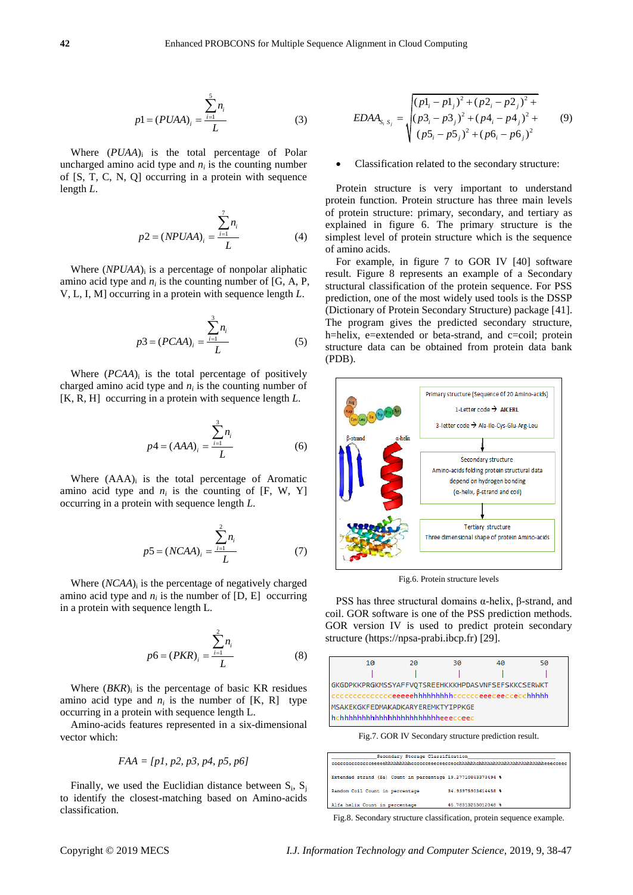$$
p1 = (PUAA)_i = \frac{\sum_{i=1}^{5} n_i}{L}
$$
 (3)

Where  $(PUAA)$ <sub>i</sub> is the total percentage of Polar uncharged amino acid type and  $n_i$  is the counting number of [S, T, C, N, Q] occurring in a protein with sequence length *L*.

$$
p2 = (NPUAA)_i = \frac{\sum_{i=1}^{7} n_i}{L} \tag{4}
$$

Where  $(NPUAA)$ <sub>i</sub> is a percentage of nonpolar aliphatic amino acid type and  $n_i$  is the counting number of [G, A, P, V, L, I, M] occurring in a protein with sequence length *L*.

$$
p3 = (PCAA)_i = \frac{\sum_{i=1}^{3} n_i}{L}
$$
 (5)

Where  $(PCAA)_i$  is the total percentage of positively charged amino acid type and  $n_i$  is the counting number of [K, R, H] occurring in a protein with sequence length *L*.

$$
p4 = (AAA)_i = \frac{\sum_{i=1}^{3} n_i}{L}
$$
 (6)

Where  $(AAA)$ <sub>i</sub> is the total percentage of Aromatic amino acid type and  $n_i$  is the counting of [F, W, Y] occurring in a protein with sequence length *L*.

$$
p5 = (NCAA)_i = \frac{\sum_{i=1}^{2} n_i}{L}
$$
 (7)

Where (*NCAA*)<sub>i</sub> is the percentage of negatively charged amino acid type and  $n_i$  is the number of [D, E] occurring in a protein with sequence length L.

$$
p6 = (PKR)_i = \frac{\sum_{i=1}^{2} n_i}{L}
$$
 (8)

Where  $(BKR)$ <sub>i</sub> is the percentage of basic KR residues amino acid type and  $n_i$  is the number of [K, R] type occurring in a protein with sequence length L.

Amino-acids features represented in a six-dimensional vector which:

$$
FAA = [p1, p2, p3, p4, p5, p6]
$$

Finally, we used the Euclidian distance between  $S_i$ ,  $S_j$ to identify the closest-matching based on Amino-acids classification.

$$
EDAA_{S_i S_j} = \sqrt{\frac{(p1_i - p1_j)^2 + (p2_i - p2_j)^2 + (p3_i - p4_j)^2 + (p4_i - p4_j)^2 + (p5_i - p5_j)^2 + (p6_i - p6_j)^2}
$$
(9)

## Classification related to the secondary structure:

Protein structure is very important to understand protein function. Protein structure has three main levels of protein structure: primary, secondary, and tertiary as explained in figure 6. The primary structure is the simplest level of protein structure which is the sequence of amino acids.

For example, in figure 7 to GOR IV [40] software result. Figure 8 represents an example of a Secondary structural classification of the protein sequence. For PSS prediction, one of the most widely used tools is the DSSP (Dictionary of Protein Secondary Structure) package [41]. The program gives the predicted secondary structure, h=helix, e=extended or beta-strand, and c=coil; protein structure data can be obtained from protein data bank (PDB).



Fig.6. Protein structure levels

PSS has three structural domains  $α$ -helix,  $β$ -strand, and coil. GOR software is one of the PSS prediction methods. GOR version IV is used to predict protein secondary structure [\(https://npsa-prabi.ibcp.fr\)](https://npsa-prabi.ibcp.fr/) [29].



Fig.7. GOR IV Secondary structure prediction result.

| Secondary Storage Classification                             |                     |  |
|--------------------------------------------------------------|---------------------|--|
|                                                              |                     |  |
|                                                              |                     |  |
| Extended strand (Ee) Count in percentage 19.27710843373494 % |                     |  |
|                                                              |                     |  |
| Random Coil Count in percentage                              | 34.93975903614458 % |  |
|                                                              |                     |  |
| Alfa helix Count in percentage                               | 45.78313253012048 % |  |

Fig.8. Secondary structure classification, protein sequence example.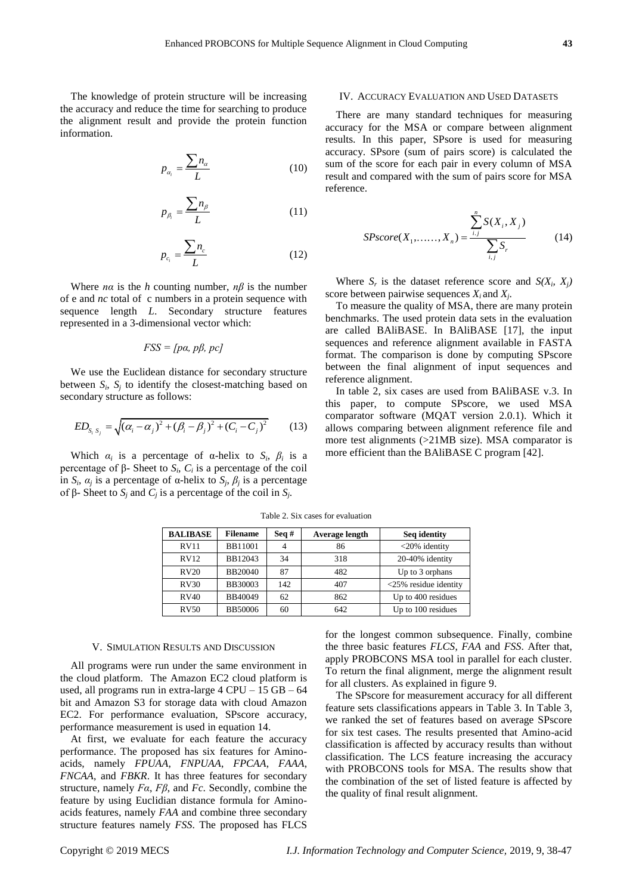The knowledge of protein structure will be increasing the accuracy and reduce the time for searching to produce the alignment result and provide the protein function information.

$$
p_{\alpha_i} = \frac{\sum n_{\alpha}}{L} \tag{10}
$$

$$
p_{\beta_i} = \frac{\sum n_{\beta}}{L} \tag{11}
$$

$$
p_{c_i} = \frac{\sum n_c}{L} \tag{12}
$$

Where  $n\alpha$  is the *h* counting number,  $n\beta$  is the number of e and *nc* total of c numbers in a protein sequence with sequence length *L*. Secondary structure features represented in a 3-dimensional vector which:

## *FSS = [pα, pβ, pc]*

We use the Euclidean distance for secondary structure between  $S_i$ ,  $S_j$  to identify the closest-matching based on secondary structure as follows:

$$
ED_{S_i S_j} = \sqrt{(\alpha_i - \alpha_j)^2 + (\beta_i - \beta_j)^2 + (C_i - C_j)^2}
$$
 (13)

Which  $\alpha_i$  is a percentage of  $\alpha$ -helix to  $S_i$ ,  $\beta_i$  is a percentage of β- Sheet to  $S_i$ ,  $C_i$  is a percentage of the coil in *S<sub>i</sub>*,  $\alpha_j$  is a percentage of α-helix to *S<sub>i</sub>*,  $\beta_j$  is a percentage of β- Sheet to  $S_j$  and  $C_j$  is a percentage of the coil in  $S_j$ .

## IV. ACCURACY EVALUATION AND USED DATASETS

There are many standard techniques for measuring accuracy for the MSA or compare between alignment results. In this paper, SPsore is used for measuring accuracy. SPsore (sum of pairs score) is calculated the sum of the score for each pair in every column of MSA result and compared with the sum of pairs score for MSA reference.

$$
SPscore(X_1, \dots, X_n) = \frac{\sum_{i,j}^{n} S(X_i, X_j)}{\sum_{i,j} S_r}
$$
 (14)

Where  $S_r$  is the dataset reference score and  $S(X_i, X_j)$ score between pairwise sequences  $X_i$  and  $X_j$ .

To measure the quality of MSA, there are many protein benchmarks. The used protein data sets in the evaluation are called BAliBASE. In BAliBASE [17], the input sequences and reference alignment available in FASTA format. The comparison is done by computing SPscore between the final alignment of input sequences and reference alignment.

In table 2, six cases are used from BAliBASE v.3. In this paper, to compute SPscore, we used MSA comparator software (MQAT version 2.0.1). Which it allows comparing between alignment reference file and more test alignments (>21MB size). MSA comparator is more efficient than the BAliBASE C program [42].

| <b>BALIBASE</b> | <b>Filename</b> | Seq# | Average length | Seq identity             |
|-----------------|-----------------|------|----------------|--------------------------|
| <b>RV11</b>     | <b>BB11001</b>  |      | 86             | $<20\%$ identity         |
| RV12            | BB12043         | 34   | 318            | 20-40% identity          |
| RV20            | <b>BB20040</b>  | 87   | 482            | Up to 3 orphans          |
| <b>RV30</b>     | <b>BB30003</b>  | 142  | 407            | $<$ 25% residue identity |
| RV40            | BB40049         | 62   | 862            | Up to 400 residues       |
| <b>RV50</b>     | <b>BB50006</b>  | 60   | 642            | Up to 100 residues       |

Table 2. Six cases for evaluation

## V. SIMULATION RESULTS AND DISCUSSION

All programs were run under the same environment in the cloud platform. The Amazon EC2 cloud platform is used, all programs run in extra-large 4 CPU – 15 GB – 64 bit and Amazon S3 for storage data with cloud Amazon EC2. For performance evaluation, SPscore accuracy, performance measurement is used in equation 14.

At first, we evaluate for each feature the accuracy performance. The proposed has six features for Aminoacids, namely *FPUAA*, *FNPUAA*, *FPCAA*, *FAAA*, *FNCAA*, and *FBKR*. It has three features for secondary structure, namely *Fα*, *Fβ*, and *Fc*. Secondly, combine the feature by using Euclidian distance formula for Aminoacids features, namely *FAA* and combine three secondary structure features namely *FSS*. The proposed has FLCS for the longest common subsequence. Finally, combine the three basic features *FLCS*, *FAA* and *FSS*. After that, apply PROBCONS MSA tool in parallel for each cluster. To return the final alignment, merge the alignment result for all clusters. As explained in figure 9.

The SPscore for measurement accuracy for all different feature sets classifications appears in Table 3. In Table 3, we ranked the set of features based on average SPscore for six test cases. The results presented that Amino-acid classification is affected by accuracy results than without classification. The LCS feature increasing the accuracy with PROBCONS tools for MSA. The results show that the combination of the set of listed feature is affected by the quality of final result alignment.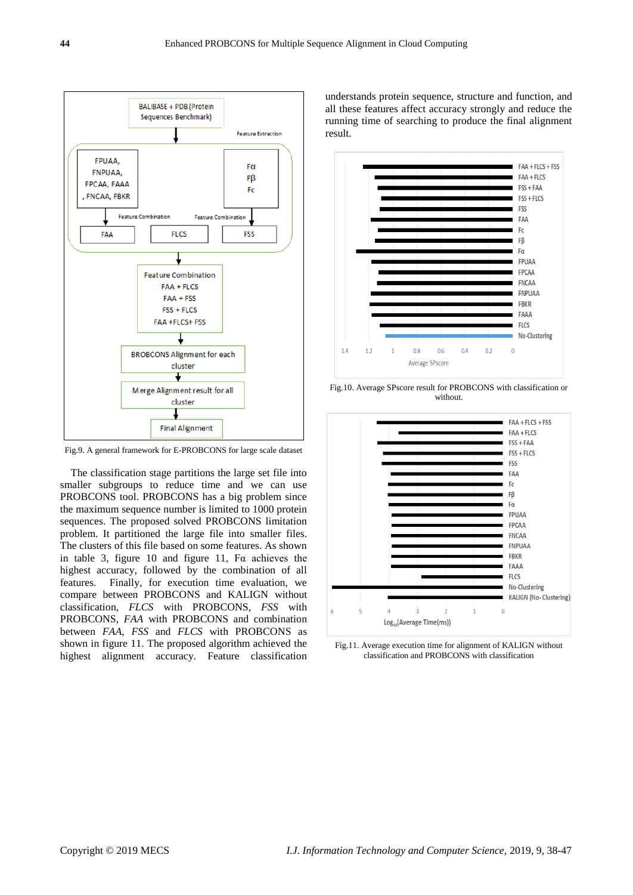

Fig.9. A general framework for E-PROBCONS for large scale dataset

The classification stage partitions the large set file into smaller subgroups to reduce time and we can use PROBCONS tool. PROBCONS has a big problem since the maximum sequence number is limited to 1000 protein sequences. The proposed solved PROBCONS limitation problem. It partitioned the large file into smaller files. The clusters of this file based on some features. As shown in table 3, figure 10 and figure 11,  $Fa$  achieves the highest accuracy, followed by the combination of all features. Finally, for execution time evaluation, we compare between PROBCONS and KALIGN without classification, *FLCS* with PROBCONS, *FSS* with PROBCONS, *FAA* with PROBCONS and combination between *FAA*, *FSS* and *FLCS* with PROBCONS as shown in figure 11. The proposed algorithm achieved the highest alignment accuracy. Feature classification

understands protein sequence, structure and function, and all these features affect accuracy strongly and reduce the running time of searching to produce the final alignment result.



Fig.10. Average SPscore result for PROBCONS with classification or without.



Fig.11. Average execution time for alignment of KALIGN without classification and PROBCONS with classification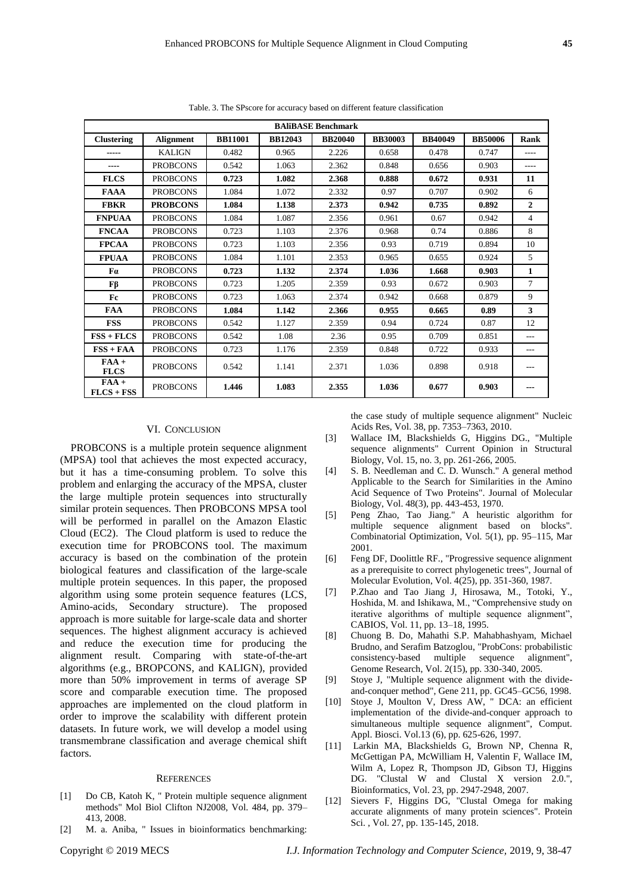| <b>BAliBASE Benchmark</b> |                  |                |                |                |                |                |                |                |
|---------------------------|------------------|----------------|----------------|----------------|----------------|----------------|----------------|----------------|
| <b>Clustering</b>         | <b>Alignment</b> | <b>BB11001</b> | <b>BB12043</b> | <b>BB20040</b> | <b>BB30003</b> | <b>BB40049</b> | <b>BB50006</b> | Rank           |
| -----                     | <b>KALIGN</b>    | 0.482          | 0.965          | 2.226          | 0.658          | 0.478          | 0.747          | $- - - -$      |
| ----                      | <b>PROBCONS</b>  | 0.542          | 1.063          | 2.362          | 0.848          | 0.656          | 0.903          | $- - - -$      |
| <b>FLCS</b>               | <b>PROBCONS</b>  | 0.723          | 1.082          | 2.368          | 0.888          | 0.672          | 0.931          | 11             |
| <b>FAAA</b>               | <b>PROBCONS</b>  | 1.084          | 1.072          | 2.332          | 0.97           | 0.707          | 0.902          | 6              |
| <b>FBKR</b>               | <b>PROBCONS</b>  | 1.084          | 1.138          | 2.373          | 0.942          | 0.735          | 0.892          | $\overline{2}$ |
| <b>FNPUAA</b>             | <b>PROBCONS</b>  | 1.084          | 1.087          | 2.356          | 0.961          | 0.67           | 0.942          | $\overline{4}$ |
| <b>FNCAA</b>              | <b>PROBCONS</b>  | 0.723          | 1.103          | 2.376          | 0.968          | 0.74           | 0.886          | 8              |
| <b>FPCAA</b>              | <b>PROBCONS</b>  | 0.723          | 1.103          | 2.356          | 0.93           | 0.719          | 0.894          | 10             |
| <b>FPUAA</b>              | <b>PROBCONS</b>  | 1.084          | 1.101          | 2.353          | 0.965          | 0.655          | 0.924          | 5              |
| Fα                        | <b>PROBCONS</b>  | 0.723          | 1.132          | 2.374          | 1.036          | 1.668          | 0.903          | $\mathbf{1}$   |
| Fβ                        | <b>PROBCONS</b>  | 0.723          | 1.205          | 2.359          | 0.93           | 0.672          | 0.903          | $\tau$         |
| Fc                        | <b>PROBCONS</b>  | 0.723          | 1.063          | 2.374          | 0.942          | 0.668          | 0.879          | 9              |
| <b>FAA</b>                | <b>PROBCONS</b>  | 1.084          | 1.142          | 2.366          | 0.955          | 0.665          | 0.89           | 3              |
| <b>FSS</b>                | <b>PROBCONS</b>  | 0.542          | 1.127          | 2.359          | 0.94           | 0.724          | 0.87           | 12             |
| $FSS + FLCS$              | <b>PROBCONS</b>  | 0.542          | 1.08           | 2.36           | 0.95           | 0.709          | 0.851          | ---            |
| $FSS + FAA$               | <b>PROBCONS</b>  | 0.723          | 1.176          | 2.359          | 0.848          | 0.722          | 0.933          | $---$          |
| $FAA +$<br><b>FLCS</b>    | <b>PROBCONS</b>  | 0.542          | 1.141          | 2.371          | 1.036          | 0.898          | 0.918          |                |
| $FAA +$<br>$FLCS + FSS$   | <b>PROBCONS</b>  | 1.446          | 1.083          | 2.355          | 1.036          | 0.677          | 0.903          |                |

Table. 3. The SPscore for accuracy based on different feature classification

#### VI. CONCLUSION

PROBCONS is a multiple protein sequence alignment (MPSA) tool that achieves the most expected accuracy, but it has a time-consuming problem. To solve this problem and enlarging the accuracy of the MPSA, cluster the large multiple protein sequences into structurally similar protein sequences. Then PROBCONS MPSA tool will be performed in parallel on the Amazon Elastic Cloud (EC2). The Cloud platform is used to reduce the execution time for PROBCONS tool. The maximum accuracy is based on the combination of the protein biological features and classification of the large-scale multiple protein sequences. In this paper, the proposed algorithm using some protein sequence features (LCS, Amino-acids, Secondary structure). The proposed approach is more suitable for large-scale data and shorter sequences. The highest alignment accuracy is achieved and reduce the execution time for producing the alignment result. Comparing with state-of-the-art algorithms (e.g., BROPCONS, and KALIGN), provided more than 50% improvement in terms of average SP score and comparable execution time. The proposed approaches are implemented on the cloud platform in order to improve the scalability with different protein datasets. In future work, we will develop a model using transmembrane classification and average chemical shift factors.

#### **REFERENCES**

- [1] Do CB, Katoh K, " Protein multiple sequence alignment methods" Mol Biol Clifton NJ2008, Vol. 484, pp. 379– 413, 2008.
- [2] M. a. Aniba, " Issues in bioinformatics benchmarking:

the case study of multiple sequence alignment" Nucleic Acids Res, Vol. 38, pp. 7353–7363, 2010.

- [3] Wallace IM, Blackshields G, Higgins DG., "Multiple sequence alignments" Current Opinion in Structural Biology, Vol. 15, no. 3, pp. 261-266, 2005.
- [4] S. B. Needleman and C. D. Wunsch." A general method Applicable to the Search for Similarities in the Amino Acid Sequence of Two Proteins". Journal of Molecular Biology, Vol. 48(3), pp. 443-453, 1970.
- [5] Peng Zhao, Tao Jiang." A heuristic algorithm for multiple sequence alignment based on blocks". Combinatorial Optimization, Vol. 5(1), pp. 95–115, Mar 2001.
- [6] Feng DF, Doolittle RF., "Progressive sequence alignment as a prerequisite to correct phylogenetic trees", Journal of Molecular Evolution, Vol. 4(25), pp. 351-360, 1987.
- [7] P.Zhao and Tao Jiang J, Hirosawa, M., Totoki, Y., Hoshida, M. and Ishikawa, M., "Comprehensive study on iterative algorithms of multiple sequence alignment", CABIOS, Vol. 11, pp. 13–18, 1995.
- [8] Chuong B. Do, Mahathi S.P. Mahabhashyam, Michael Brudno, and Serafim Batzoglou, "ProbCons: probabilistic consistency-based multiple sequence alignment", Genome Research, Vol. 2(15), pp. 330-340, 2005.
- [9] Stoye J, "Multiple sequence alignment with the divideand-conquer method", Gene 211, pp. GC45–GC56, 1998.
- [10] Stoye J, Moulton V, Dress AW, " DCA: an efficient implementation of the divide-and-conquer approach to simultaneous multiple sequence alignment", Comput. Appl. Biosci. Vol.13 (6), pp. 625-626, 1997.
- [11] Larkin MA, Blackshields G, Brown NP, Chenna R, McGettigan PA, McWilliam H, Valentin F, Wallace IM, Wilm A, Lopez R, Thompson JD, Gibson TJ, Higgins DG. "Clustal W and Clustal X version 2.0.", Bioinformatics, Vol. 23, pp. 2947-2948, 2007.
- [12] Sievers F, Higgins DG, "Clustal Omega for making accurate alignments of many protein sciences". Protein Sci. , Vol. 27, pp. 135-145, 2018.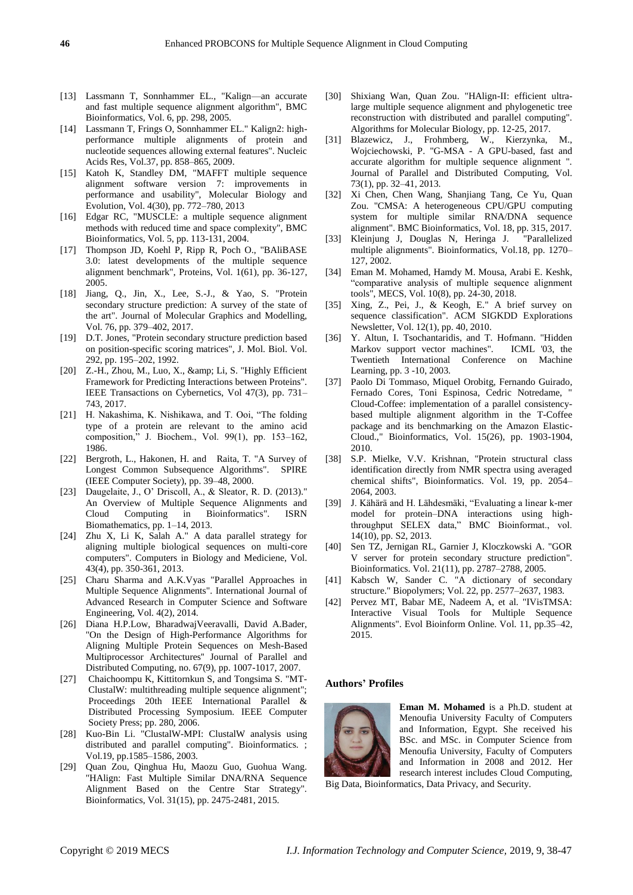- [13] Lassmann T, Sonnhammer EL., "Kalign—an accurate and fast multiple sequence alignment algorithm", BMC Bioinformatics, Vol. 6, pp. 298, 2005.
- [14] Lassmann T, Frings O, Sonnhammer EL." Kalign2: highperformance multiple alignments of protein and nucleotide sequences allowing external features". Nucleic Acids Res, Vol.37, pp. 858–865, 2009.
- [15] Katoh K, Standley DM, "MAFFT multiple sequence alignment software version 7: improvements in performance and usability", Molecular Biology and Evolution, Vol. 4(30), pp. 772–780, 2013
- [16] Edgar RC, "MUSCLE: a multiple sequence alignment methods with reduced time and space complexity", BMC Bioinformatics, Vol. 5, pp. 113-131, 2004.
- [17] Thompson JD, Koehl P, Ripp R, Poch O., "BAliBASE 3.0: latest developments of the multiple sequence alignment benchmark", Proteins, Vol. 1(61), pp. 36-127, 2005.
- [18] Jiang, Q., Jin, X., Lee, S.-J., & Yao, S. "Protein secondary structure prediction: A survey of the state of the art". Journal of Molecular Graphics and Modelling, Vol. 76, pp. 379–402, 2017.
- [19] D.T. Jones, "Protein secondary structure prediction based on position-specific scoring matrices", J. Mol. Biol. Vol. 292, pp. 195–202, 1992.
- [20]  $Z.-H., Zhou, M., Luo, X., \&; Li, S. "Highly Efficient"$ Framework for Predicting Interactions between Proteins". IEEE Transactions on Cybernetics, Vol 47(3), pp. 731– 743, 2017.
- [21] H. Nakashima, K. Nishikawa, and T. Ooi, "The folding type of a protein are relevant to the amino acid composition," J. Biochem., Vol. 99(1), pp. 153-162, 1986.
- [22] Bergroth, L., Hakonen, H. and Raita, T. "A Survey of Longest Common Subsequence Algorithms". SPIRE (IEEE Computer Society), pp. 39–48, 2000.
- [23] Daugelaite, J., O' Driscoll, A., & Sleator, R. D. (2013)." An Overview of Multiple Sequence Alignments and Cloud Computing in Bioinformatics". ISRN Biomathematics, pp. 1–14, 2013.
- [24] Zhu X, Li K, Salah A." A data parallel strategy for aligning multiple biological sequences on multi-core computers". Computers in Biology and Mediciene, Vol. 43(4), pp. 350-361, 2013.
- [25] Charu Sharma and A.K.Vyas "Parallel Approaches in Multiple Sequence Alignments". International Journal of Advanced Research in Computer Science and Software Engineering, Vol. 4(2), 2014.
- [26] Diana H.P.Low, BharadwajVeeravalli, David A.Bader, "On the Design of High-Performance Algorithms for Aligning Multiple Protein Sequences on Mesh-Based Multiprocessor Architectures'' Journal of Parallel and Distributed Computing, no. 67(9), pp. 1007-1017, 2007.
- [27] Chaichoompu K, Kittitornkun S, and Tongsima S. "MT-ClustalW: multithreading multiple sequence alignment"; Proceedings 20th IEEE International Parallel & Distributed Processing Symposium. IEEE Computer Society Press; pp. 280, 2006.
- [28] Kuo-Bin Li. "ClustalW-MPI: ClustalW analysis using distributed and parallel computing". Bioinformatics. ; Vol.19, pp.1585–1586, 2003.
- [29] Quan Zou, Qinghua Hu, Maozu Guo, Guohua Wang. "HAlign: Fast Multiple Similar DNA/RNA Sequence Alignment Based on the Centre Star Strategy". Bioinformatics, Vol. 31(15), pp. 2475-2481, 2015.
- [30] Shixiang Wan, Quan Zou. "HAlign-II: efficient ultralarge multiple sequence alignment and phylogenetic tree reconstruction with distributed and parallel computing". Algorithms for Molecular Biology, pp. 12-25, 2017.
- [31] Blazewicz, J., Frohmberg, W., Kierzynka, M., Wojciechowski, P. "G-MSA - A GPU-based, fast and accurate algorithm for multiple sequence alignment ". Journal of Parallel and Distributed Computing, Vol. 73(1), pp. 32–41, 2013.
- [32] Xi Chen, Chen Wang, Shanjiang Tang, Ce Yu, Quan Zou. "CMSA: A heterogeneous CPU/GPU computing system for multiple similar RNA/DNA sequence alignment". BMC Bioinformatics, Vol. 18, pp. 315, 2017.
- [33] Kleinjung J, Douglas N, Heringa J. "Parallelized multiple alignments". Bioinformatics, Vol.18, pp. 1270– 127, 2002.
- [34] Eman M. Mohamed, Hamdy M. Mousa, Arabi E. Keshk, ―comparative analysis of multiple sequence alignment tools", MECS, Vol. 10(8), pp. 24-30, 2018.
- [35] Xing, Z., Pei, J., & Keogh, E." A brief survey on sequence classification". ACM SIGKDD Explorations Newsletter, Vol. 12(1), pp. 40, 2010.
- [36] Y. Altun, I. Tsochantaridis, and T. Hofmann. "Hidden Markov support vector machines". ICML '03, the Twentieth International Conference on Machine Learning, pp. 3 -10, 2003.
- [37] Paolo Di Tommaso, Miquel Orobitg, Fernando Guirado, Fernado Cores, Toni Espinosa, Cedric Notredame, Cloud-Coffee: implementation of a parallel consistencybased multiple alignment algorithm in the T-Coffee package and its benchmarking on the Amazon Elastic-Cloud.," Bioinformatics, Vol. 15(26), pp. 1903-1904, 2010.
- [38] S.P. Mielke, V.V. Krishnan, "Protein structural class identification directly from NMR spectra using averaged chemical shifts", Bioinformatics. Vol. 19, pp. 2054– 2064, 2003.
- [39] J. Kähärä and H. Lähdesmäki, "Evaluating a linear k-mer model for protein–DNA interactions using highthroughput SELEX data," BMC Bioinformat., vol. 14(10), pp. S2, 2013.
- [40] Sen TZ, Jernigan RL, Garnier J, Kloczkowski A. "GOR V server for protein secondary structure prediction". Bioinformatics. Vol. 21(11), pp. 2787–2788, 2005.
- [41] Kabsch W, Sander C. "A dictionary of secondary structure." Biopolymers; Vol. 22, pp. 2577–2637, 1983.
- [42] Pervez MT, Babar ME, Nadeem A, et al. "IVisTMSA: Interactive Visual Tools for Multiple Sequence Alignments". Evol Bioinform Online. Vol. 11, pp.35–42, 2015.

## **Authors' Profiles**



**Eman M. Mohamed** is a Ph.D. student at Menoufia University Faculty of Computers and Information, Egypt. She received his BSc. and MSc. in Computer Science from Menoufia University, Faculty of Computers and Information in 2008 and 2012. Her research interest includes Cloud Computing,

Big Data, Bioinformatics, Data Privacy, and Security.